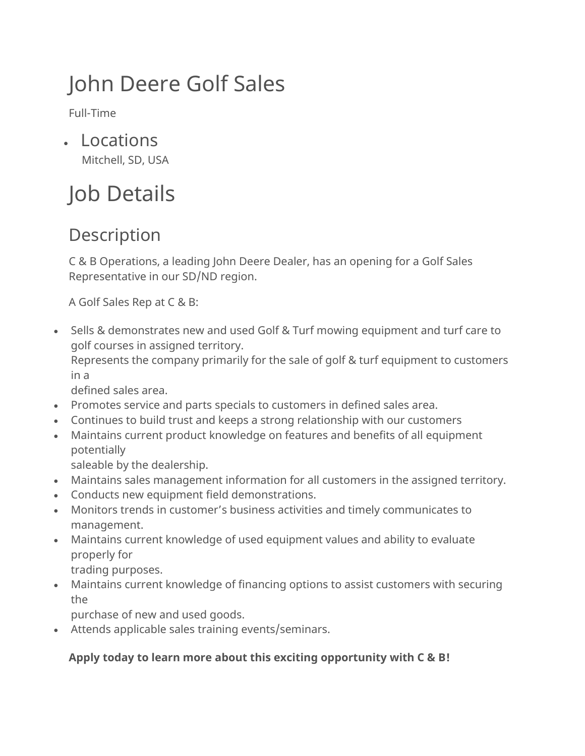# John Deere Golf Sales

Full-Time

• Locations Mitchell, SD, USA

# Job Details

# Description

C & B Operations, a leading John Deere Dealer, has an opening for a Golf Sales Representative in our SD/ND region.

A Golf Sales Rep at C & B:

• Sells & demonstrates new and used Golf & Turf mowing equipment and turf care to golf courses in assigned territory.

Represents the company primarily for the sale of golf & turf equipment to customers in a

defined sales area.

- Promotes service and parts specials to customers in defined sales area.
- Continues to build trust and keeps a strong relationship with our customers
- Maintains current product knowledge on features and benefits of all equipment potentially

saleable by the dealership.

- Maintains sales management information for all customers in the assigned territory.
- Conducts new equipment field demonstrations.
- Monitors trends in customer's business activities and timely communicates to management.
- Maintains current knowledge of used equipment values and ability to evaluate properly for

trading purposes.

• Maintains current knowledge of financing options to assist customers with securing the

purchase of new and used goods.

• Attends applicable sales training events/seminars.

### **Apply today to learn more about this exciting opportunity with C & B!**